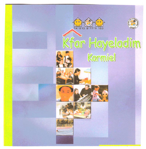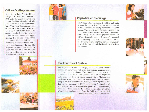#### **Children's Villa -Karmiel**

About the Village; The Children's Village in Karmiel, was founded in 1978 and is the largest of the Training Projects for children founded by Rachu Frier. It is situated in the northernmost part of Karmicl, a Development Town established in 1964. The village is in one of the most beautiful areas of the country, nestling in the Bet Hakcrcm valley between lower and upper Galillee. **It** is surrounded by Jewish and non-Jewish agricultural and community settlements which adds to the unique character of the area. The single-storey houses, surrounded by grass and flowers blend into the pastoral setting, conducive to the educational framework.







## **Population of the Village**<br>The Village color for some 275 shildren and we

The Village caters for some 275 children and youth between the ages of 5-18. They arc referred from all parts of the country mainly for socio-economic reasons, The majority came from distressed families i.e.; broken homes caused by divorce. violence. crime. drugs, sexual and/or physical abuse and difficult financial situations, They are all evaluated as to their ability to fit into a normal school Iramcwork and necessity of removing them from the community in which they have been living in order to give them this chance.



Kfar Hayeladim (Children's Village), as in all Children's House trauning projects, works with a non-conventional training system. It employs the integration of a foster family and a normal school fromework. There are 20 "Mishpachton" (nuclear family groups) and 3 houses for the more mature students. Each "Mishpachton" consists of 10 girls and boys of different ages from 5-15. The family group is run by a married couple residing in a "Mishpachton" with their own children and the 10 Village children. The couple's job<br>is to conduct a normal, everyday lifestyle with an extended family which will act as a model for the children in their future lives. Most of the house mothers come from the field of education; their husbands from a multitude of professions.



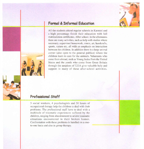

### **Formal & Informal Education**

All the students attend regular schools in Karmiel and a *high* percentage finish their education with full matriculation certificates. After school, in the afternoons there are many activities, such as help with studies where necessary, supervised homework, music. art, handcrafts, sports, nature etc, all with an emphasis on interaction between the children. In addition there is a large animal corner (also open to the general publice) where the children learn to care for the animals. Volunteers who come from abroad, such as Young Judea from the United States and the youth who come from Great Britain through the auspices of UJlA give valuable help and support in many of these after-school activities.

#### **Professional Staff**

5 social workers, 4 psychologists and 50 hours of occupational therapy help the children to deal with their problems. The professional staff have to deal with a multitude of traumatic experiences suffered by the children, ranging from abandonment to severe traumatic situations encountered in their broken homes. Confrontation with these problems is handled on a oneto-one basis and also in group therapy.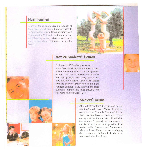#### **Host Families**

Many of the children have no families of their own to visit during holidays (parents in prison, drug rehabilitation programs etc.) Therefore the Village finds families in the neighbouring vicinity who are willing and able to host these children on a regular basis.



-

## **Mature Students' Houses**

At the end of  $9<sup>th</sup>$  Grade the teenager move from the Mishpachton framework into a House where they live as an independent group. They are in constant contact with their Mishpaehton where they grew up and they help the Village in many ways such as running activity group and helping the younger children. They study in the High Schools in Karmiel and most graduate with full Matriculation Cerificates.







**Soldiers' Houses**

into theArmed Forces. Many of them are recognized as "Lonely Soldiers" by the Army as they have no homes to live in during their military service. To alleviate this situation 4 houses have been renovated and furnished in order to provide these soldiers with a "warm corner" to return to when on leave. Those who are continuing their academic studies within the army framework also live there.